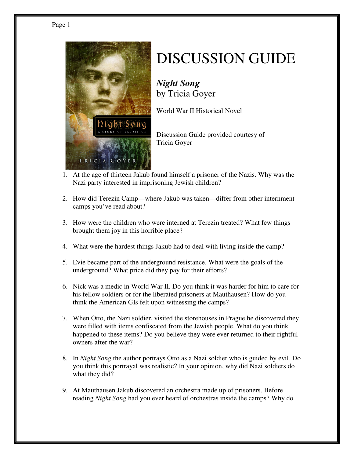



## DISCUSSION GUIDE

*Night Song* by Tricia Goyer

World War II Historical Novel

Discussion Guide provided courtesy of Tricia Goyer

- 1. At the age of thirteen Jakub found himself a prisoner of the Nazis. Why was the Nazi party interested in imprisoning Jewish children?
- 2. How did Terezin Camp—where Jakub was taken—differ from other internment camps you've read about?
- 3. How were the children who were interned at Terezin treated? What few things brought them joy in this horrible place?
- 4. What were the hardest things Jakub had to deal with living inside the camp?
- 5. Evie became part of the underground resistance. What were the goals of the underground? What price did they pay for their efforts?
- 6. Nick was a medic in World War II. Do you think it was harder for him to care for his fellow soldiers or for the liberated prisoners at Mauthausen? How do you think the American GIs felt upon witnessing the camps?
- 7. When Otto, the Nazi soldier, visited the storehouses in Prague he discovered they were filled with items confiscated from the Jewish people. What do you think happened to these items? Do you believe they were ever returned to their rightful owners after the war?
- 8. In *Night Song* the author portrays Otto as a Nazi soldier who is guided by evil. Do you think this portrayal was realistic? In your opinion, why did Nazi soldiers do what they did?
- 9. At Mauthausen Jakub discovered an orchestra made up of prisoners. Before reading *Night Song* had you ever heard of orchestras inside the camps? Why do